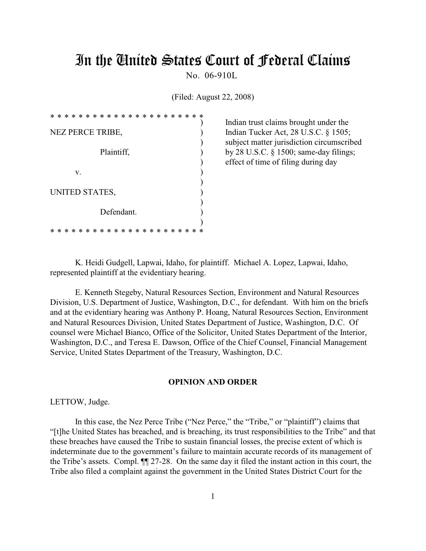# In the United States Court of Federal Claims

No. 06-910L

(Filed: August 22, 2008)

| $\ast$ | *                | ∗ | * | * | * | * | $\ast$ | $\ast$ | $\ast$ | * | $\ast$ | * | ∗ | $\ast$ | * | * | * | ∗ | ж |  |
|--------|------------------|---|---|---|---|---|--------|--------|--------|---|--------|---|---|--------|---|---|---|---|---|--|
|        | NEZ PERCE TRIBE, |   |   |   |   |   |        |        |        |   |        |   |   |        |   |   |   |   |   |  |
|        |                  |   |   |   |   |   |        |        |        |   |        |   |   |        |   |   |   |   |   |  |
|        | Plaintiff,       |   |   |   |   |   |        |        |        |   |        |   |   |        |   |   |   |   |   |  |
|        |                  |   |   |   |   |   |        |        |        |   |        |   |   |        |   |   |   |   |   |  |
| v.     |                  |   |   |   |   |   |        |        |        |   |        |   |   |        |   |   |   |   |   |  |
|        |                  |   |   |   |   |   |        |        |        |   |        |   |   |        |   |   |   |   |   |  |
|        | UNITED STATES,   |   |   |   |   |   |        |        |        |   |        |   |   |        |   |   |   |   |   |  |
|        | Defendant.       |   |   |   |   |   |        |        |        |   |        |   |   |        |   |   |   |   |   |  |
|        |                  |   |   |   |   |   |        |        |        |   |        |   |   |        |   |   |   |   |   |  |
|        | ж                | ж | ж | ∗ | ж | ж | ∗      | ∗      | *      | ∗ | ∗      | ∗ | ∗ | ∗      | ж |   | ж |   |   |  |

Indian trust claims brought under the Indian Tucker Act, 28 U.S.C.  $\S$  1505; ) subject matter jurisdiction circumscribed by 28 U.S.C.  $\S$  1500; same-day filings; ) effect of time of filing during day

K. Heidi Gudgell, Lapwai, Idaho, for plaintiff. Michael A. Lopez, Lapwai, Idaho, represented plaintiff at the evidentiary hearing.

E. Kenneth Stegeby, Natural Resources Section, Environment and Natural Resources Division, U.S. Department of Justice, Washington, D.C., for defendant. With him on the briefs and at the evidentiary hearing was Anthony P. Hoang, Natural Resources Section, Environment and Natural Resources Division, United States Department of Justice, Washington, D.C. Of counsel were Michael Bianco, Office of the Solicitor, United States Department of the Interior, Washington, D.C., and Teresa E. Dawson, Office of the Chief Counsel, Financial Management Service, United States Department of the Treasury, Washington, D.C.

# **OPINION AND ORDER**

LETTOW, Judge.

In this case, the Nez Perce Tribe ("Nez Perce," the "Tribe," or "plaintiff") claims that "[t]he United States has breached, and is breaching, its trust responsibilities to the Tribe" and that these breaches have caused the Tribe to sustain financial losses, the precise extent of which is indeterminate due to the government's failure to maintain accurate records of its management of the Tribe's assets. Compl. ¶¶ 27-28. On the same day it filed the instant action in this court, the Tribe also filed a complaint against the government in the United States District Court for the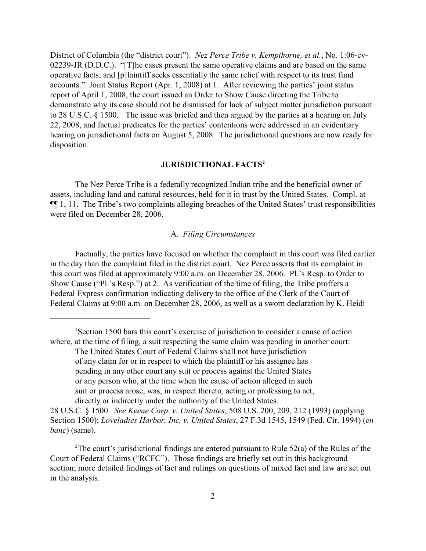District of Columbia (the "district court"). *Nez Perce Tribe v. Kempthorne, et al.*, No. 1:06-cv-02239-JR (D.D.C.). "[T]he cases present the same operative claims and are based on the same operative facts; and [p]laintiff seeks essentially the same relief with respect to its trust fund accounts." Joint Status Report (Apr. 1, 2008) at 1. After reviewing the parties' joint status report of April 1, 2008, the court issued an Order to Show Cause directing the Tribe to demonstrate why its case should not be dismissed for lack of subject matter jurisdiction pursuant to 28 U.S.C.  $\S$  1500.<sup>1</sup> The issue was briefed and then argued by the parties at a hearing on July 22, 2008, and factual predicates for the parties' contentions were addressed in an evidentiary hearing on jurisdictional facts on August 5, 2008. The jurisdictional questions are now ready for disposition.

# **JURISDICTIONAL FACTS<sup>2</sup>**

The Nez Perce Tribe is a federally recognized Indian tribe and the beneficial owner of assets, including land and natural resources, held for it in trust by the United States. Compl. at ¶¶ 1, 11. The Tribe's two complaints alleging breaches of the United States' trust responsibilities were filed on December 28, 2006.

# A. *Filing Circumstances*

Factually, the parties have focused on whether the complaint in this court was filed earlier in the day than the complaint filed in the district court. Nez Perce asserts that its complaint in this court was filed at approximately 9:00 a.m. on December 28, 2006. Pl.'s Resp. to Order to Show Cause ("Pl.'s Resp.") at 2. As verification of the time of filing, the Tribe proffers a Federal Express confirmation indicating delivery to the office of the Clerk of the Court of Federal Claims at 9:00 a.m. on December 28, 2006, as well as a sworn declaration by K. Heidi

<sup>&</sup>lt;sup>1</sup>Section 1500 bars this court's exercise of jurisdiction to consider a cause of action where, at the time of filing, a suit respecting the same claim was pending in another court:

The United States Court of Federal Claims shall not have jurisdiction of any claim for or in respect to which the plaintiff or his assignee has pending in any other court any suit or process against the United States or any person who, at the time when the cause of action alleged in such suit or process arose, was, in respect thereto, acting or professing to act, directly or indirectly under the authority of the United States.

<sup>28</sup> U.S.C. § 1500. *See Keene Corp. v. United States*, 508 U.S. 200, 209, 212 (1993) (applying Section 1500); *Loveladies Harbor, Inc. v. United States*, 27 F.3d 1545, 1549 (Fed. Cir. 1994) (*en banc*) (same).

<sup>&</sup>lt;sup>2</sup>The court's jurisdictional findings are entered pursuant to Rule 52(a) of the Rules of the Court of Federal Claims ("RCFC"). Those findings are briefly set out in this background section; more detailed findings of fact and rulings on questions of mixed fact and law are set out in the analysis.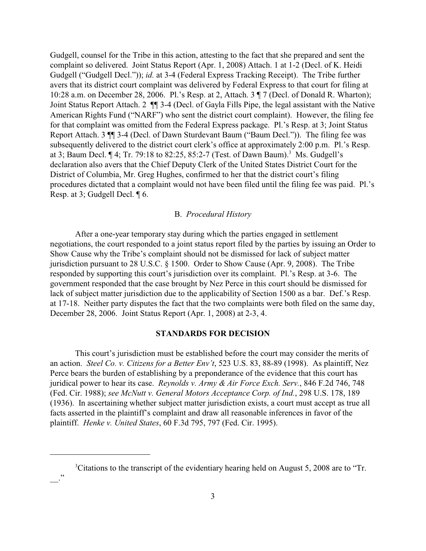Gudgell, counsel for the Tribe in this action, attesting to the fact that she prepared and sent the complaint so delivered. Joint Status Report (Apr. 1, 2008) Attach. 1 at 1-2 (Decl. of K. Heidi Gudgell ("Gudgell Decl.")); *id.* at 3-4 (Federal Express Tracking Receipt). The Tribe further avers that its district court complaint was delivered by Federal Express to that court for filing at 10:28 a.m. on December 28, 2006. Pl.'s Resp. at 2, Attach. 3 ¶ 7 (Decl. of Donald R. Wharton); Joint Status Report Attach. 2 ¶¶ 3-4 (Decl. of Gayla Fills Pipe, the legal assistant with the Native American Rights Fund ("NARF") who sent the district court complaint). However, the filing fee for that complaint was omitted from the Federal Express package. Pl.'s Resp. at 3; Joint Status Report Attach. 3 ¶¶ 3-4 (Decl. of Dawn Sturdevant Baum ("Baum Decl.")). The filing fee was subsequently delivered to the district court clerk's office at approximately 2:00 p.m. Pl.'s Resp. at 3; Baum Decl.  $\P$  4; Tr. 79:18 to 82:25, 85:2-7 (Test. of Dawn Baum).<sup>3</sup> Ms. Gudgell's declaration also avers that the Chief Deputy Clerk of the United States District Court for the District of Columbia, Mr. Greg Hughes, confirmed to her that the district court's filing procedures dictated that a complaint would not have been filed until the filing fee was paid. Pl.'s Resp. at 3; Gudgell Decl. ¶ 6.

# B. *Procedural History*

After a one-year temporary stay during which the parties engaged in settlement negotiations, the court responded to a joint status report filed by the parties by issuing an Order to Show Cause why the Tribe's complaint should not be dismissed for lack of subject matter jurisdiction pursuant to 28 U.S.C. § 1500. Order to Show Cause (Apr. 9, 2008). The Tribe responded by supporting this court's jurisdiction over its complaint. Pl.'s Resp. at 3-6. The government responded that the case brought by Nez Perce in this court should be dismissed for lack of subject matter jurisdiction due to the applicability of Section 1500 as a bar. Def.'s Resp. at 17-18. Neither party disputes the fact that the two complaints were both filed on the same day, December 28, 2006. Joint Status Report (Apr. 1, 2008) at 2-3, 4.

# **STANDARDS FOR DECISION**

This court's jurisdiction must be established before the court may consider the merits of an action. *Steel Co. v. Citizens for a Better Env't*, 523 U.S. 83, 88-89 (1998). As plaintiff, Nez Perce bears the burden of establishing by a preponderance of the evidence that this court has juridical power to hear its case. *Reynolds v. Army & Air Force Exch. Serv.*, 846 F.2d 746, 748 (Fed. Cir. 1988); *see McNutt v. General Motors Acceptance Corp. of Ind.*, 298 U.S. 178, 189 (1936). In ascertaining whether subject matter jurisdiction exists, a court must accept as true all facts asserted in the plaintiff's complaint and draw all reasonable inferences in favor of the plaintiff. *Henke v. United States*, 60 F.3d 795, 797 (Fed. Cir. 1995).

 $\overline{\phantom{a}}$  ."

 ${}^{3}$ Citations to the transcript of the evidentiary hearing held on August 5, 2008 are to "Tr.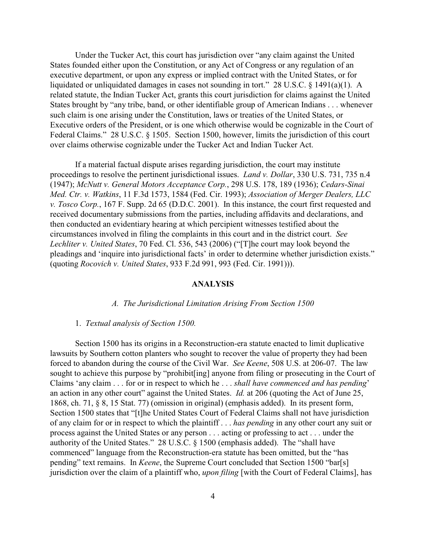Under the Tucker Act, this court has jurisdiction over "any claim against the United States founded either upon the Constitution, or any Act of Congress or any regulation of an executive department, or upon any express or implied contract with the United States, or for liquidated or unliquidated damages in cases not sounding in tort." 28 U.S.C. § 1491(a)(1). A related statute, the Indian Tucker Act, grants this court jurisdiction for claims against the United States brought by "any tribe, band, or other identifiable group of American Indians . . . whenever such claim is one arising under the Constitution, laws or treaties of the United States, or Executive orders of the President, or is one which otherwise would be cognizable in the Court of Federal Claims." 28 U.S.C. § 1505. Section 1500, however, limits the jurisdiction of this court over claims otherwise cognizable under the Tucker Act and Indian Tucker Act.

If a material factual dispute arises regarding jurisdiction, the court may institute proceedings to resolve the pertinent jurisdictional issues. *Land v. Dollar*, 330 U.S. 731, 735 n.4 (1947); *McNutt v. General Motors Acceptance Corp.*, 298 U.S. 178, 189 (1936); *Cedars-Sinai Med. Ctr. v. Watkins*, 11 F.3d 1573, 1584 (Fed. Cir. 1993); *Association of Merger Dealers, LLC v. Tosco Corp.*, 167 F. Supp. 2d 65 (D.D.C. 2001). In this instance, the court first requested and received documentary submissions from the parties, including affidavits and declarations, and then conducted an evidentiary hearing at which percipient witnesses testified about the circumstances involved in filing the complaints in this court and in the district court. *See Lechliter v. United States*, 70 Fed. Cl. 536, 543 (2006) ("[T]he court may look beyond the pleadings and 'inquire into jurisdictional facts' in order to determine whether jurisdiction exists." (quoting *Rocovich v. United States*, 933 F.2d 991, 993 (Fed. Cir. 1991))).

## **ANALYSIS**

#### *A. The Jurisdictional Limitation Arising From Section 1500*

#### 1. *Textual analysis of Section 1500.*

Section 1500 has its origins in a Reconstruction-era statute enacted to limit duplicative lawsuits by Southern cotton planters who sought to recover the value of property they had been forced to abandon during the course of the Civil War. *See Keene*, 508 U.S. at 206-07. The law sought to achieve this purpose by "prohibit[ing] anyone from filing or prosecuting in the Court of Claims 'any claim . . . for or in respect to which he . . . *shall have commenced and has pending*' an action in any other court" against the United States. *Id.* at 206 (quoting the Act of June 25, 1868, ch. 71, § 8, 15 Stat. 77) (omission in original) (emphasis added). In its present form, Section 1500 states that "[t]he United States Court of Federal Claims shall not have jurisdiction of any claim for or in respect to which the plaintiff . . . *has pending* in any other court any suit or process against the United States or any person . . . acting or professing to act . . . under the authority of the United States." 28 U.S.C. § 1500 (emphasis added). The "shall have commenced" language from the Reconstruction-era statute has been omitted, but the "has pending" text remains. In *Keene*, the Supreme Court concluded that Section 1500 "bar[s] jurisdiction over the claim of a plaintiff who, *upon filing* [with the Court of Federal Claims], has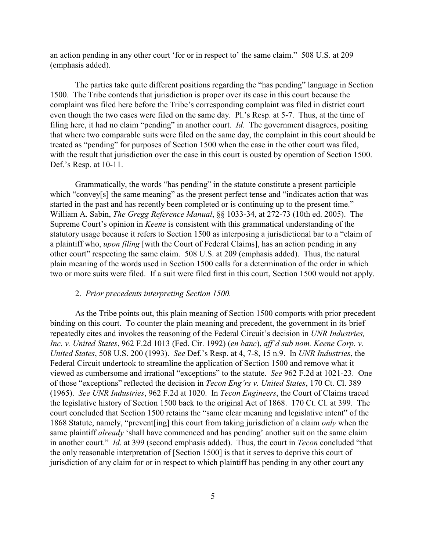an action pending in any other court 'for or in respect to' the same claim." 508 U.S. at 209 (emphasis added).

The parties take quite different positions regarding the "has pending" language in Section 1500. The Tribe contends that jurisdiction is proper over its case in this court because the complaint was filed here before the Tribe's corresponding complaint was filed in district court even though the two cases were filed on the same day. Pl.'s Resp. at 5-7. Thus, at the time of filing here, it had no claim "pending" in another court. *Id*. The government disagrees, positing that where two comparable suits were filed on the same day, the complaint in this court should be treated as "pending" for purposes of Section 1500 when the case in the other court was filed, with the result that jurisdiction over the case in this court is ousted by operation of Section 1500. Def.'s Resp. at 10-11.

Grammatically, the words "has pending" in the statute constitute a present participle which "convey[s] the same meaning" as the present perfect tense and "indicates action that was started in the past and has recently been completed or is continuing up to the present time." William A. Sabin, *The Gregg Reference Manual*, §§ 1033-34, at 272-73 (10th ed. 2005). The Supreme Court's opinion in *Keene* is consistent with this grammatical understanding of the statutory usage because it refers to Section 1500 as interposing a jurisdictional bar to a "claim of a plaintiff who, *upon filing* [with the Court of Federal Claims], has an action pending in any other court" respecting the same claim. 508 U.S. at 209 (emphasis added). Thus, the natural plain meaning of the words used in Section 1500 calls for a determination of the order in which two or more suits were filed. If a suit were filed first in this court, Section 1500 would not apply.

#### 2. *Prior precedents interpreting Section 1500.*

As the Tribe points out, this plain meaning of Section 1500 comports with prior precedent binding on this court. To counter the plain meaning and precedent, the government in its brief repeatedly cites and invokes the reasoning of the Federal Circuit's decision in *UNR Industries, Inc. v. United States*, 962 F.2d 1013 (Fed. Cir. 1992) (*en banc*), *aff'd sub nom. Keene Corp. v. United States*, 508 U.S. 200 (1993). *See* Def.'s Resp. at 4, 7-8, 15 n.9. In *UNR Industries*, the Federal Circuit undertook to streamline the application of Section 1500 and remove what it viewed as cumbersome and irrational "exceptions" to the statute. *See* 962 F.2d at 1021-23. One of those "exceptions" reflected the decision in *Tecon Eng'rs v. United States*, 170 Ct. Cl. 389 (1965). *See UNR Industries*, 962 F.2d at 1020. In *Tecon Engineers*, the Court of Claims traced the legislative history of Section 1500 back to the original Act of 1868. 170 Ct. Cl. at 399. The court concluded that Section 1500 retains the "same clear meaning and legislative intent" of the 1868 Statute, namely, "prevent[ing] this court from taking jurisdiction of a claim *only* when the same plaintiff *already* 'shall have commenced and has pending' another suit on the same claim in another court." *Id*. at 399 (second emphasis added). Thus, the court in *Tecon* concluded "that the only reasonable interpretation of [Section 1500] is that it serves to deprive this court of jurisdiction of any claim for or in respect to which plaintiff has pending in any other court any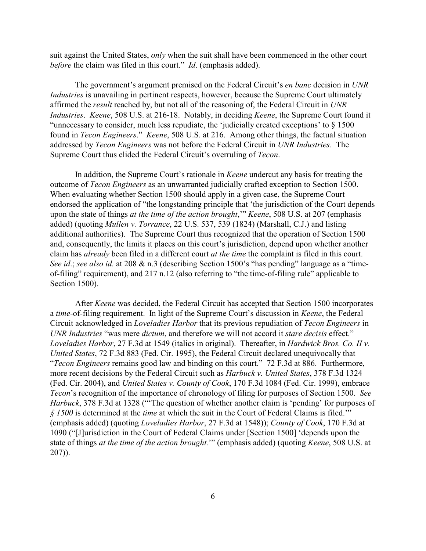suit against the United States, *only* when the suit shall have been commenced in the other court *before* the claim was filed in this court." *Id*. (emphasis added).

The government's argument premised on the Federal Circuit's *en banc* decision in *UNR Industries* is unavailing in pertinent respects, however, because the Supreme Court ultimately affirmed the *result* reached by, but not all of the reasoning of, the Federal Circuit in *UNR Industries*. *Keene*, 508 U.S. at 216-18. Notably, in deciding *Keene*, the Supreme Court found it "unnecessary to consider, much less repudiate, the 'judicially created exceptions' to § 1500 found in *Tecon Engineers*." *Keene*, 508 U.S. at 216. Among other things, the factual situation addressed by *Tecon Engineers* was not before the Federal Circuit in *UNR Industries*. The Supreme Court thus elided the Federal Circuit's overruling of *Tecon*.

In addition, the Supreme Court's rationale in *Keene* undercut any basis for treating the outcome of *Tecon Engineers* as an unwarranted judicially crafted exception to Section 1500. When evaluating whether Section 1500 should apply in a given case, the Supreme Court endorsed the application of "the longstanding principle that 'the jurisdiction of the Court depends upon the state of things *at the time of the action brought*,'" *Keene*, 508 U.S. at 207 (emphasis added) (quoting *Mullen v. Torrance*, 22 U.S. 537, 539 (1824) (Marshall, C.J.) and listing additional authorities). The Supreme Court thus recognized that the operation of Section 1500 and, consequently, the limits it places on this court's jurisdiction, depend upon whether another claim has *already* been filed in a different court *at the time* the complaint is filed in this court. *See id*.; *see also id.* at 208 & n.3 (describing Section 1500's "has pending" language as a "timeof-filing" requirement), and 217 n.12 (also referring to "the time-of-filing rule" applicable to Section 1500).

After *Keene* was decided, the Federal Circuit has accepted that Section 1500 incorporates a *time*-of-filing requirement. In light of the Supreme Court's discussion in *Keene*, the Federal Circuit acknowledged in *Loveladies Harbor* that its previous repudiation of *Tecon Engineers* in *UNR Industries* "was mere *dictum*, and therefore we will not accord it *stare decisis* effect." *Loveladies Harbor*, 27 F.3d at 1549 (italics in original). Thereafter, in *Hardwick Bros. Co. II v. United States*, 72 F.3d 883 (Fed. Cir. 1995), the Federal Circuit declared unequivocally that "*Tecon Engineers* remains good law and binding on this court." 72 F.3d at 886. Furthermore, more recent decisions by the Federal Circuit such as *Harbuck v. United States*, 378 F.3d 1324 (Fed. Cir. 2004), and *United States v. County of Cook*, 170 F.3d 1084 (Fed. Cir. 1999), embrace *Tecon*'s recognition of the importance of chronology of filing for purposes of Section 1500. *See Harbuck*, 378 F.3d at 1328 ("'The question of whether another claim is 'pending' for purposes of *§ 1500* is determined at the *time* at which the suit in the Court of Federal Claims is filed.'" (emphasis added) (quoting *Loveladies Harbor*, 27 F.3d at 1548)); *County of Cook*, 170 F.3d at 1090 ("[J]urisdiction in the Court of Federal Claims under [Section 1500] 'depends upon the state of things *at the time of the action brought.*'" (emphasis added) (quoting *Keene*, 508 U.S. at 207)).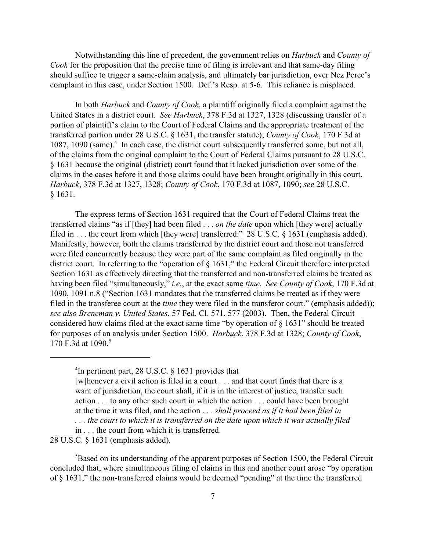Notwithstanding this line of precedent, the government relies on *Harbuck* and *County of Cook* for the proposition that the precise time of filing is irrelevant and that same-day filing should suffice to trigger a same-claim analysis, and ultimately bar jurisdiction, over Nez Perce's complaint in this case, under Section 1500. Def.'s Resp. at 5-6. This reliance is misplaced.

In both *Harbuck* and *County of Cook*, a plaintiff originally filed a complaint against the United States in a district court. *See Harbuck*, 378 F.3d at 1327, 1328 (discussing transfer of a portion of plaintiff's claim to the Court of Federal Claims and the appropriate treatment of the transferred portion under 28 U.S.C. § 1631, the transfer statute); *County of Cook*, 170 F.3d at 1087, 1090 (same). $4\,$  In each case, the district court subsequently transferred some, but not all, of the claims from the original complaint to the Court of Federal Claims pursuant to 28 U.S.C. § 1631 because the original (district) court found that it lacked jurisdiction over some of the claims in the cases before it and those claims could have been brought originally in this court. *Harbuck*, 378 F.3d at 1327, 1328; *County of Cook*, 170 F.3d at 1087, 1090; *see* 28 U.S.C. § 1631.

The express terms of Section 1631 required that the Court of Federal Claims treat the transferred claims "as if [they] had been filed . . . *on the date* upon which [they were] actually filed in . . . the court from which [they were] transferred." 28 U.S.C. § 1631 (emphasis added). Manifestly, however, both the claims transferred by the district court and those not transferred were filed concurrently because they were part of the same complaint as filed originally in the district court. In referring to the "operation of § 1631," the Federal Circuit therefore interpreted Section 1631 as effectively directing that the transferred and non-transferred claims be treated as having been filed "simultaneously," *i.e.*, at the exact same *time*. *See County of Cook*, 170 F.3d at 1090, 1091 n.8 ("Section 1631 mandates that the transferred claims be treated as if they were filed in the transferee court at the *time* they were filed in the transferor court." (emphasis added)); *see also Breneman v. United States*, 57 Fed. Cl. 571, 577 (2003). Then, the Federal Circuit considered how claims filed at the exact same time "by operation of § 1631" should be treated for purposes of an analysis under Section 1500. *Harbuck*, 378 F.3d at 1328; *County of Cook*, 170 F.3d at 1090. 5

in . . . the court from which it is transferred. 28 U.S.C. § 1631 (emphasis added).

 ${}^{5}$ Based on its understanding of the apparent purposes of Section 1500, the Federal Circuit concluded that, where simultaneous filing of claims in this and another court arose "by operation of § 1631," the non-transferred claims would be deemed "pending" at the time the transferred

<sup>&</sup>lt;sup>4</sup>In pertinent part, 28 U.S.C.  $\S$  1631 provides that

<sup>[</sup>w]henever a civil action is filed in a court . . . and that court finds that there is a want of jurisdiction, the court shall, if it is in the interest of justice, transfer such action . . . to any other such court in which the action . . . could have been brought at the time it was filed, and the action . . . *shall proceed as if it had been filed in . . . the court to which it is transferred on the date upon which it was actually filed*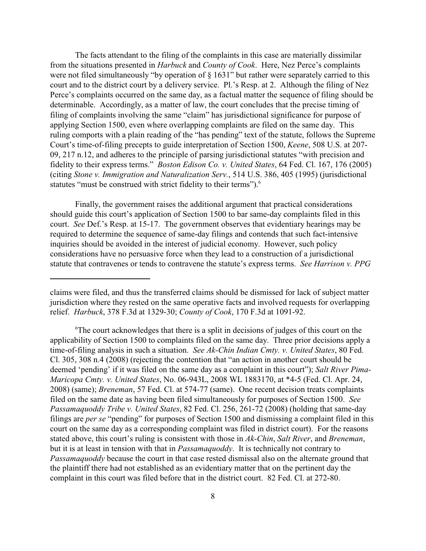The facts attendant to the filing of the complaints in this case are materially dissimilar from the situations presented in *Harbuck* and *County of Cook*. Here, Nez Perce's complaints were not filed simultaneously "by operation of § 1631" but rather were separately carried to this court and to the district court by a delivery service. Pl.'s Resp. at 2. Although the filing of Nez Perce's complaints occurred on the same day, as a factual matter the sequence of filing should be determinable. Accordingly, as a matter of law, the court concludes that the precise timing of filing of complaints involving the same "claim" has jurisdictional significance for purpose of applying Section 1500, even where overlapping complaints are filed on the same day. This ruling comports with a plain reading of the "has pending" text of the statute, follows the Supreme Court's time-of-filing precepts to guide interpretation of Section 1500, *Keene*, 508 U.S. at 207- 09, 217 n.12, and adheres to the principle of parsing jurisdictional statutes "with precision and fidelity to their express terms." *Boston Edison Co. v. United States*, 64 Fed. Cl. 167, 176 (2005) (citing *Stone v. Immigration and Naturalization Serv.*, 514 U.S. 386, 405 (1995) (jurisdictional statutes "must be construed with strict fidelity to their terms").<sup>6</sup>

Finally, the government raises the additional argument that practical considerations should guide this court's application of Section 1500 to bar same-day complaints filed in this court. *See* Def.'s Resp. at 15-17. The government observes that evidentiary hearings may be required to determine the sequence of same-day filings and contends that such fact-intensive inquiries should be avoided in the interest of judicial economy. However, such policy considerations have no persuasive force when they lead to a construction of a jurisdictional statute that contravenes or tends to contravene the statute's express terms. *See Harrison v. PPG*

claims were filed, and thus the transferred claims should be dismissed for lack of subject matter jurisdiction where they rested on the same operative facts and involved requests for overlapping relief. *Harbuck*, 378 F.3d at 1329-30; *County of Cook*, 170 F.3d at 1091-92.

 $\sigma$ <sup>6</sup>The court acknowledges that there is a split in decisions of judges of this court on the applicability of Section 1500 to complaints filed on the same day. Three prior decisions apply a time-of-filing analysis in such a situation. *See Ak-Chin Indian Cmty. v. United States*, 80 Fed. Cl. 305, 308 n.4 (2008) (rejecting the contention that "an action in another court should be deemed 'pending' if it was filed on the same day as a complaint in this court"); *Salt River Pima-Maricopa Cmty. v. United States*, No. 06-943L, 2008 WL 1883170, at \*4-5 (Fed. Cl. Apr. 24, 2008) (same); *Breneman*, 57 Fed. Cl. at 574-77 (same). One recent decision treats complaints filed on the same date as having been filed simultaneously for purposes of Section 1500. *See Passamaquoddy Tribe v. United States*, 82 Fed. Cl. 256, 261-72 (2008) (holding that same-day filings are *per se* "pending" for purposes of Section 1500 and dismissing a complaint filed in this court on the same day as a corresponding complaint was filed in district court). For the reasons stated above, this court's ruling is consistent with those in *Ak-Chin*, *Salt River*, and *Breneman*, but it is at least in tension with that in *Passamaquoddy*. It is technically not contrary to *Passamaquoddy* because the court in that case rested dismissal also on the alternate ground that the plaintiff there had not established as an evidentiary matter that on the pertinent day the complaint in this court was filed before that in the district court. 82 Fed. Cl. at 272-80.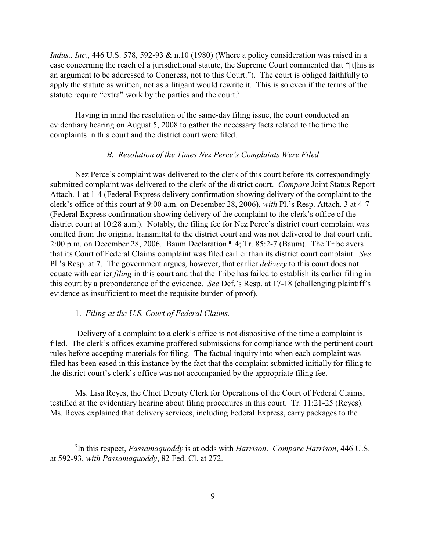*Indus., Inc.*, 446 U.S. 578, 592-93 & n.10 (1980) (Where a policy consideration was raised in a case concerning the reach of a jurisdictional statute, the Supreme Court commented that "[t]his is an argument to be addressed to Congress, not to this Court."). The court is obliged faithfully to apply the statute as written, not as a litigant would rewrite it. This is so even if the terms of the statute require "extra" work by the parties and the court.<sup>7</sup>

Having in mind the resolution of the same-day filing issue, the court conducted an evidentiary hearing on August 5, 2008 to gather the necessary facts related to the time the complaints in this court and the district court were filed.

# *B. Resolution of the Times Nez Perce's Complaints Were Filed*

Nez Perce's complaint was delivered to the clerk of this court before its correspondingly submitted complaint was delivered to the clerk of the district court. *Compare* Joint Status Report Attach. 1 at 1-4 (Federal Express delivery confirmation showing delivery of the complaint to the clerk's office of this court at 9:00 a.m. on December 28, 2006), *with* Pl.'s Resp. Attach. 3 at 4-7 (Federal Express confirmation showing delivery of the complaint to the clerk's office of the district court at 10:28 a.m.). Notably, the filing fee for Nez Perce's district court complaint was omitted from the original transmittal to the district court and was not delivered to that court until 2:00 p.m. on December 28, 2006. Baum Declaration ¶ 4; Tr. 85:2-7 (Baum). The Tribe avers that its Court of Federal Claims complaint was filed earlier than its district court complaint. *See* Pl.'s Resp. at 7. The government argues, however, that earlier *delivery* to this court does not equate with earlier *filing* in this court and that the Tribe has failed to establish its earlier filing in this court by a preponderance of the evidence. *See* Def.'s Resp. at 17-18 (challenging plaintiff's evidence as insufficient to meet the requisite burden of proof).

### 1. *Filing at the U.S. Court of Federal Claims.*

 Delivery of a complaint to a clerk's office is not dispositive of the time a complaint is filed. The clerk's offices examine proffered submissions for compliance with the pertinent court rules before accepting materials for filing. The factual inquiry into when each complaint was filed has been eased in this instance by the fact that the complaint submitted initially for filing to the district court's clerk's office was not accompanied by the appropriate filing fee.

Ms. Lisa Reyes, the Chief Deputy Clerk for Operations of the Court of Federal Claims, testified at the evidentiary hearing about filing procedures in this court. Tr. 11:21-25 (Reyes). Ms. Reyes explained that delivery services, including Federal Express, carry packages to the

In this respect, *Passamaquoddy* is at odds with *Harrison*. *Compare Harrison*, 446 U.S. <sup>7</sup> at 592-93, *with Passamaquoddy*, 82 Fed. Cl. at 272.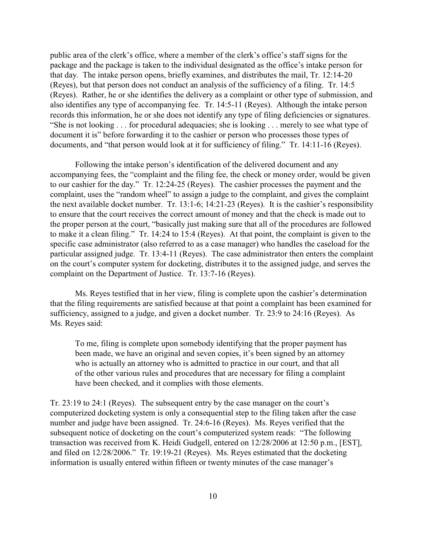public area of the clerk's office, where a member of the clerk's office's staff signs for the package and the package is taken to the individual designated as the office's intake person for that day. The intake person opens, briefly examines, and distributes the mail, Tr. 12:14-20 (Reyes), but that person does not conduct an analysis of the sufficiency of a filing. Tr. 14:5 (Reyes). Rather, he or she identifies the delivery as a complaint or other type of submission, and also identifies any type of accompanying fee. Tr. 14:5-11 (Reyes). Although the intake person records this information, he or she does not identify any type of filing deficiencies or signatures. "She is not looking . . . for procedural adequacies; she is looking . . . merely to see what type of document it is" before forwarding it to the cashier or person who processes those types of documents, and "that person would look at it for sufficiency of filing." Tr. 14:11-16 (Reyes).

Following the intake person's identification of the delivered document and any accompanying fees, the "complaint and the filing fee, the check or money order, would be given to our cashier for the day." Tr. 12:24-25 (Reyes). The cashier processes the payment and the complaint, uses the "random wheel" to assign a judge to the complaint, and gives the complaint the next available docket number. Tr. 13:1-6; 14:21-23 (Reyes). It is the cashier's responsibility to ensure that the court receives the correct amount of money and that the check is made out to the proper person at the court, "basically just making sure that all of the procedures are followed to make it a clean filing." Tr. 14:24 to 15:4 (Reyes). At that point, the complaint is given to the specific case administrator (also referred to as a case manager) who handles the caseload for the particular assigned judge. Tr. 13:4-11 (Reyes). The case administrator then enters the complaint on the court's computer system for docketing, distributes it to the assigned judge, and serves the complaint on the Department of Justice. Tr. 13:7-16 (Reyes).

Ms. Reyes testified that in her view, filing is complete upon the cashier's determination that the filing requirements are satisfied because at that point a complaint has been examined for sufficiency, assigned to a judge, and given a docket number. Tr. 23:9 to 24:16 (Reyes). As Ms. Reyes said:

To me, filing is complete upon somebody identifying that the proper payment has been made, we have an original and seven copies, it's been signed by an attorney who is actually an attorney who is admitted to practice in our court, and that all of the other various rules and procedures that are necessary for filing a complaint have been checked, and it complies with those elements.

Tr. 23:19 to 24:1 (Reyes). The subsequent entry by the case manager on the court's computerized docketing system is only a consequential step to the filing taken after the case number and judge have been assigned. Tr. 24:6-16 (Reyes). Ms. Reyes verified that the subsequent notice of docketing on the court's computerized system reads: "The following transaction was received from K. Heidi Gudgell, entered on 12/28/2006 at 12:50 p.m., [EST], and filed on 12/28/2006." Tr. 19:19-21 (Reyes). Ms. Reyes estimated that the docketing information is usually entered within fifteen or twenty minutes of the case manager's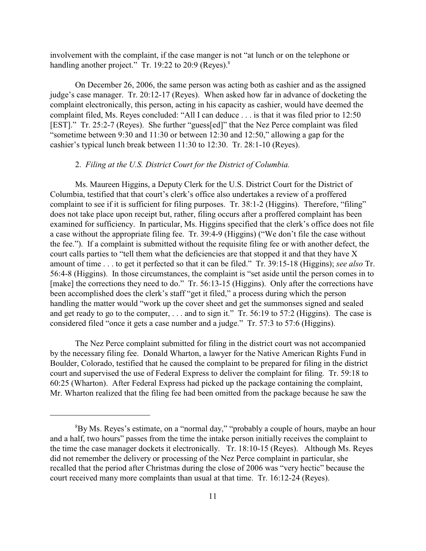involvement with the complaint, if the case manger is not "at lunch or on the telephone or handling another project." Tr. 19:22 to 20:9 (Reyes).<sup>8</sup>

On December 26, 2006, the same person was acting both as cashier and as the assigned judge's case manager. Tr. 20:12-17 (Reyes). When asked how far in advance of docketing the complaint electronically, this person, acting in his capacity as cashier, would have deemed the complaint filed, Ms. Reyes concluded: "All I can deduce . . . is that it was filed prior to 12:50 [EST]." Tr. 25:2-7 (Reyes). She further "guess[ed]" that the Nez Perce complaint was filed "sometime between 9:30 and 11:30 or between 12:30 and 12:50," allowing a gap for the cashier's typical lunch break between 11:30 to 12:30. Tr. 28:1-10 (Reyes).

# 2. *Filing at the U.S. District Court for the District of Columbia.*

Ms. Maureen Higgins, a Deputy Clerk for the U.S. District Court for the District of Columbia, testified that that court's clerk's office also undertakes a review of a proffered complaint to see if it is sufficient for filing purposes. Tr. 38:1-2 (Higgins). Therefore, "filing" does not take place upon receipt but, rather, filing occurs after a proffered complaint has been examined for sufficiency. In particular, Ms. Higgins specified that the clerk's office does not file a case without the appropriate filing fee. Tr. 39:4-9 (Higgins) ("We don't file the case without the fee."). If a complaint is submitted without the requisite filing fee or with another defect, the court calls parties to "tell them what the deficiencies are that stopped it and that they have X amount of time . . . to get it perfected so that it can be filed." Tr. 39:15-18 (Higgins); *see also* Tr. 56:4-8 (Higgins). In those circumstances, the complaint is "set aside until the person comes in to [make] the corrections they need to do." Tr. 56:13-15 (Higgins). Only after the corrections have been accomplished does the clerk's staff "get it filed," a process during which the person handling the matter would "work up the cover sheet and get the summonses signed and sealed and get ready to go to the computer, . . . and to sign it." Tr. 56:19 to 57:2 (Higgins). The case is considered filed "once it gets a case number and a judge." Tr. 57:3 to 57:6 (Higgins).

The Nez Perce complaint submitted for filing in the district court was not accompanied by the necessary filing fee. Donald Wharton, a lawyer for the Native American Rights Fund in Boulder, Colorado, testified that he caused the complaint to be prepared for filing in the district court and supervised the use of Federal Express to deliver the complaint for filing. Tr. 59:18 to 60:25 (Wharton). After Federal Express had picked up the package containing the complaint, Mr. Wharton realized that the filing fee had been omitted from the package because he saw the

<sup>&</sup>lt;sup>8</sup>By Ms. Reyes's estimate, on a "normal day," "probably a couple of hours, maybe an hour and a half, two hours" passes from the time the intake person initially receives the complaint to the time the case manager dockets it electronically. Tr. 18:10-15 (Reyes). Although Ms. Reyes did not remember the delivery or processing of the Nez Perce complaint in particular, she recalled that the period after Christmas during the close of 2006 was "very hectic" because the court received many more complaints than usual at that time. Tr. 16:12-24 (Reyes).